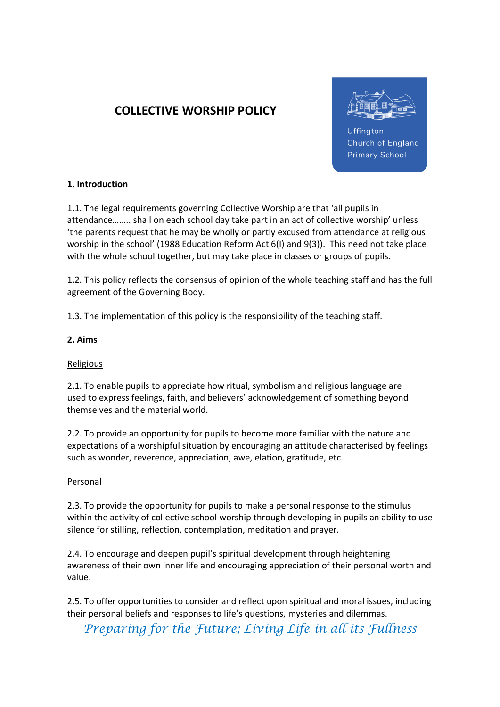# COLLECTIVE WORSHIP POLICY



Uffington Church of England **Primary School** 

# 1. Introduction

1.1. The legal requirements governing Collective Worship are that 'all pupils in attendance…….. shall on each school day take part in an act of collective worship' unless 'the parents request that he may be wholly or partly excused from attendance at religious worship in the school' (1988 Education Reform Act 6(I) and 9(3)). This need not take place with the whole school together, but may take place in classes or groups of pupils.

1.2. This policy reflects the consensus of opinion of the whole teaching staff and has the full agreement of the Governing Body.

1.3. The implementation of this policy is the responsibility of the teaching staff.

# 2. Aims

#### Religious

2.1. To enable pupils to appreciate how ritual, symbolism and religious language are used to express feelings, faith, and believers' acknowledgement of something beyond themselves and the material world.

2.2. To provide an opportunity for pupils to become more familiar with the nature and expectations of a worshipful situation by encouraging an attitude characterised by feelings such as wonder, reverence, appreciation, awe, elation, gratitude, etc.

#### **Personal**

2.3. To provide the opportunity for pupils to make a personal response to the stimulus within the activity of collective school worship through developing in pupils an ability to use silence for stilling, reflection, contemplation, meditation and prayer.

2.4. To encourage and deepen pupil's spiritual development through heightening awareness of their own inner life and encouraging appreciation of their personal worth and value.

2.5. To offer opportunities to consider and reflect upon spiritual and moral issues, including their personal beliefs and responses to life's questions, mysteries and dilemmas.

Preparing for the Future; Living Life in all its Fullness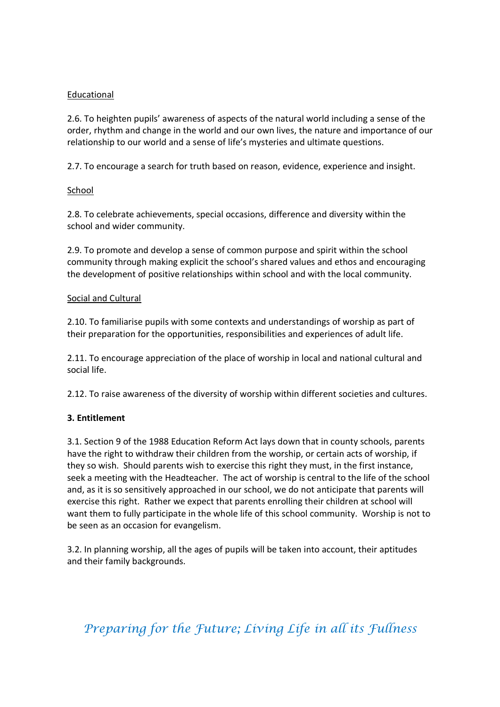### **Educational**

2.6. To heighten pupils' awareness of aspects of the natural world including a sense of the order, rhythm and change in the world and our own lives, the nature and importance of our relationship to our world and a sense of life's mysteries and ultimate questions.

2.7. To encourage a search for truth based on reason, evidence, experience and insight.

### School

2.8. To celebrate achievements, special occasions, difference and diversity within the school and wider community.

2.9. To promote and develop a sense of common purpose and spirit within the school community through making explicit the school's shared values and ethos and encouraging the development of positive relationships within school and with the local community.

### Social and Cultural

2.10. To familiarise pupils with some contexts and understandings of worship as part of their preparation for the opportunities, responsibilities and experiences of adult life.

2.11. To encourage appreciation of the place of worship in local and national cultural and social life.

2.12. To raise awareness of the diversity of worship within different societies and cultures.

# 3. Entitlement

3.1. Section 9 of the 1988 Education Reform Act lays down that in county schools, parents have the right to withdraw their children from the worship, or certain acts of worship, if they so wish. Should parents wish to exercise this right they must, in the first instance, seek a meeting with the Headteacher. The act of worship is central to the life of the school and, as it is so sensitively approached in our school, we do not anticipate that parents will exercise this right. Rather we expect that parents enrolling their children at school will want them to fully participate in the whole life of this school community. Worship is not to be seen as an occasion for evangelism.

3.2. In planning worship, all the ages of pupils will be taken into account, their aptitudes and their family backgrounds.

# Preparing for the Future; Living Life in all its Fullness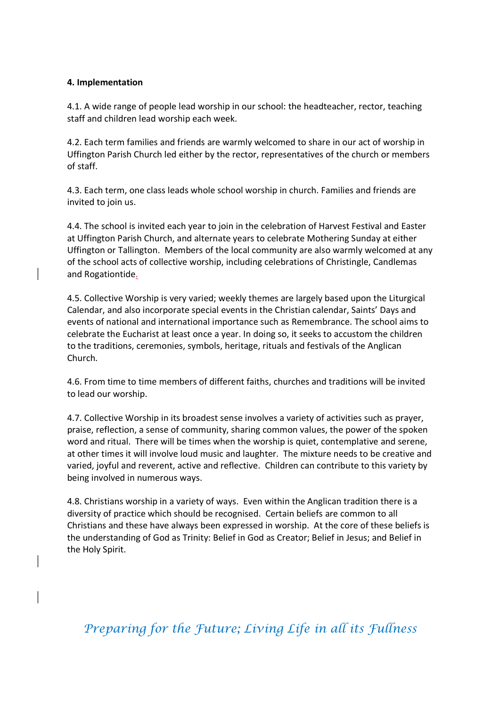#### 4. Implementation

4.1. A wide range of people lead worship in our school: the headteacher, rector, teaching staff and children lead worship each week.

4.2. Each term families and friends are warmly welcomed to share in our act of worship in Uffington Parish Church led either by the rector, representatives of the church or members of staff.

4.3. Each term, one class leads whole school worship in church. Families and friends are invited to join us.

4.4. The school is invited each year to join in the celebration of Harvest Festival and Easter at Uffington Parish Church, and alternate years to celebrate Mothering Sunday at either Uffington or Tallington. Members of the local community are also warmly welcomed at any of the school acts of collective worship, including celebrations of Christingle, Candlemas and Rogationtide.

4.5. Collective Worship is very varied; weekly themes are largely based upon the Liturgical Calendar, and also incorporate special events in the Christian calendar, Saints' Days and events of national and international importance such as Remembrance. The school aims to celebrate the Eucharist at least once a year. In doing so, it seeks to accustom the children to the traditions, ceremonies, symbols, heritage, rituals and festivals of the Anglican Church.

4.6. From time to time members of different faiths, churches and traditions will be invited to lead our worship.

4.7. Collective Worship in its broadest sense involves a variety of activities such as prayer, praise, reflection, a sense of community, sharing common values, the power of the spoken word and ritual. There will be times when the worship is quiet, contemplative and serene, at other times it will involve loud music and laughter. The mixture needs to be creative and varied, joyful and reverent, active and reflective. Children can contribute to this variety by being involved in numerous ways.

4.8. Christians worship in a variety of ways. Even within the Anglican tradition there is a diversity of practice which should be recognised. Certain beliefs are common to all Christians and these have always been expressed in worship. At the core of these beliefs is the understanding of God as Trinity: Belief in God as Creator; Belief in Jesus; and Belief in the Holy Spirit.

Preparing for the Future; Living Life in all its Fullness